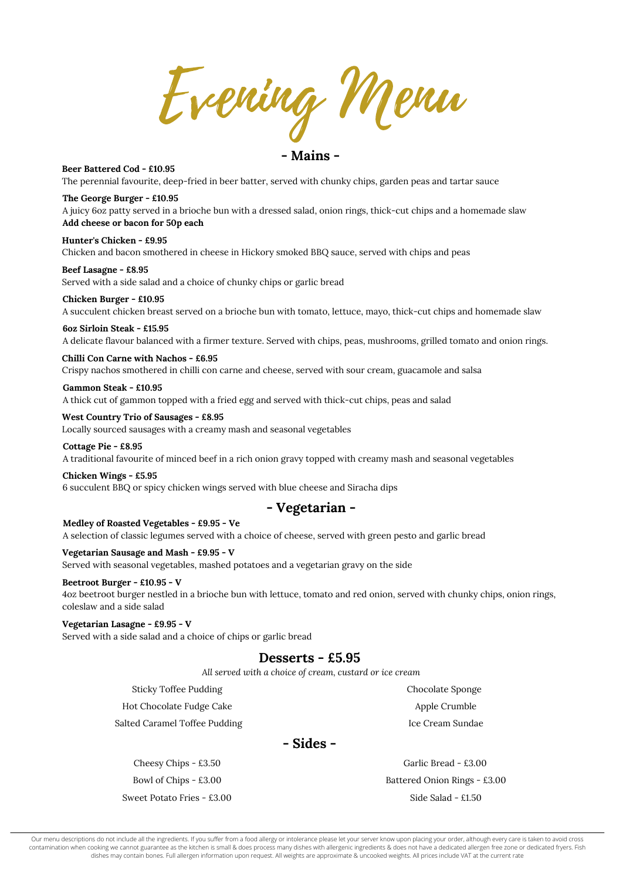**Chicken Wings - £5.95** 6 succulent BBQ or spicy chicken wings served with blue cheese and Siracha dips

**Cottage Pie - £8.95** A traditional favourite of minced beef in a rich onion gravy topped with creamy mash and seasonal vegetables

Evening Menu

**Beef Lasagne - £8.95** Served with a side salad and a choice of chunky chips or garlic bread

**Chicken Burger - £10.95** A succulent chicken breast served on a brioche bun with tomato, lettuce, mayo, thick-cut chips and homemade slaw

**- Mains -**

**The George Burger - £10.95** A juicy 6oz patty served in a brioche bun with a dressed salad, onion rings, thick-cut chips and a homemade slaw **Add cheese or bacon for 50p each**

**Beer Battered Cod - £10.95** The perennial favourite, deep-fried in beer batter, served with chunky chips, garden peas and tartar sauce

Our menu descriptions do not include all the ingredients. If you suffer from a food allergy or intolerance please let your server know upon placing your order, although every care is taken to avoid cross contamination when cooking we cannot guarantee as the kitchen is small & does process many dishes with allergenic ingredients & does not have a dedicated allergen free zone or dedicated fryers. Fish dishes may contain bones. Full allergen information upon request. All weights are approximate & uncooked weights. All prices include VAT at the current rate

**Chilli Con Carne with Nachos - £6.95** Crispy nachos smothered in chilli con carne and cheese, served with sour cream, guacamole and salsa

**Gammon Steak - £10.95** A thick cut of gammon topped with a fried egg and served with thick-cut chips, peas and salad

**Hunter's Chicken - £9.95** Chicken and bacon smothered in cheese in Hickory smoked BBQ sauce, served with chips and peas

## **- Vegetarian -**

**Vegetarian Sausage and Mash - £9.95 - V**

Served with seasonal vegetables, mashed potatoes and a vegetarian gravy on the side

#### **Beetroot Burger - £10.95 - V**

4oz beetroot burger nestled in a brioche bun with lettuce, tomato and red onion, served with chunky chips, onion rings, coleslaw and a side salad

**Vegetarian Lasagne - £9.95 - V** Served with a side salad and a choice of chips or garlic bread

**6oz Sirloin Steak - £15.95** A delicate flavour balanced with a firmer texture. Served with chips, peas, mushrooms, grilled tomato and onion rings.

**West Country Trio of Sausages - £8.95** Locally sourced sausages with a creamy mash and seasonal vegetables

#### **Medley of Roasted Vegetables - £9.95 - Ve**

A selection of classic legumes served with a choice of cheese, served with green pesto and garlic bread

### **Desserts - £5.95**

Sticky Toffee Pudding

Hot Chocolate Fudge Cake

Salted Caramel Toffee Pudding

Chocolate Sponge Apple Crumble Ice Cream Sundae

*All served with a choice of cream, custard or ice cream*

**- Sides -**

Cheesy Chips - £3.50 Bowl of Chips - £3.00

Side Salad - £1.50 Garlic Bread - £3.00 Battered Onion Rings - £3.00

Sweet Potato Fries - £3.00